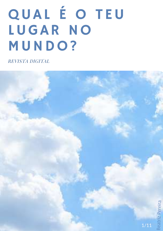# QUAL É O TEU LUGAR NO MUNDO?

REVISTA DIGITAL

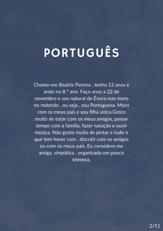### PORTUGUÊS

Chamo-me Beatriz Pereira , tenho 13 anos e ando no 8.º ano. Faço anos a 22 de novembro e sou natural de Évora mas moro no redondo , ou seja , sou Portuguesa. Moro com os meus pais e sou filha única.Gosto muito de estar com os meus amigos, passar tempo com a família, fazer natação e ouvir música. Não gosto muito de pintar e tudo o que tem haver com , discutir com os amigos ou com os meus pais. Eu considero me amiga, simpática , organizada um pouco teimosa.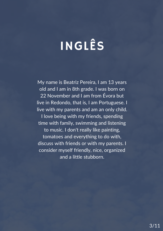## INGLÊS

My name is Beatriz Pereira, I am 13 years old and I am in 8th grade. I was born on 22 November and I am from Évora but live in Redondo, that is, I am Portuguese. I live with my parents and am an only child. I love being with my friends, spending time with family, swimming and listening to music. I don't really like painting, tomatoes and everything to do with, discuss with friends or with my parents. I consider myself friendly, nice, organized and a little stubborn.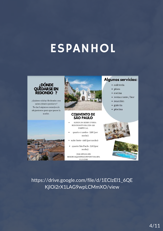### **ESPANHOL**



¿Quieres visitar Redondo y no sabes dónde quedarte? Te daré algunos consejos de alojamiento para que pases la noche.





#### **CONVENTO DE SÃO PAULO**

- ALDEIA DA SERRA D'OSSA REDONDO ÉVORA 7170-120 PORTUGAL
- quarto cruzeiro- 35€ (por  $\ddot{\phantom{0}}$ noche)
- suite fonte- $44C$  (por noche)
- · quarto São Paulo-52€ (por noche)

 $(351) 266 989 160$ RESERVAS@HOTELCONVENTOSAOPA ULO.COM

#### **Algunos servicios:**

- · cafetería
- · pisos
- · cocina
- restaurante / bar
- · reacción
- · galería
- · piscina



https://drive.google.com/file/d/1EClzEl1\_6QE KjlOi2rX1LAG9wpLCMmXO/view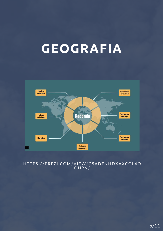### **GEOGRAFIA**



#### HTTPS : / /PREZI .C OM/VIEW/C5ADENHDXAXC O L4 O O N9N/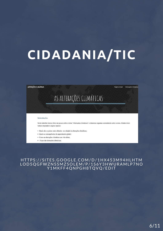#### ALTERAÇÕES CLIMÁTICAS

### AS ALTERAÇÕES CLIMÁTICAS

Pagina Inicial - Alterações Climática

#### Introdução:

Neste trabalho iremos falar um pouco sobre o tema "Alterações climáticas" e citaremos algumas curiosidades sobre o tema. Dentro deste vamos responder a alguns tópicos:

- · Quais são os países mais afetados em relação ás alterações climáticas;
- · Quais as consequências do aquecimento global;
- · Como as alterações climáticas nos vão afetar;
- · O que são alterações climáticas;

#### HTTPS : / / S ITES .G O O GLE.C OM/D/1HX453M94HLHTM L O D5 Q GFWZNS SMZS O LEM/P/1S6Y3HWURAMLP7N O Y1MKFF4 Q NPGH8T Q V Q /EDIT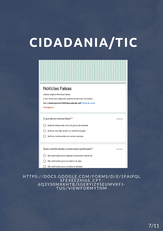| Notícias Falsas<br>Lideres Digitais-Notícias Falsas<br>O seu email será registado quando enviar este formulário<br>Não é beatrizpereira12661@avredondo.net? Mude de conta<br>*Obrigatório      |          |
|------------------------------------------------------------------------------------------------------------------------------------------------------------------------------------------------|----------|
| O que são as notícias falsas? *<br>Notícias falsas mas com um pouco de verdade<br>Notícias que são boatos ou desinformações<br>Notícias manipuladas por outras pessoas                         | 5 pontos |
| Qual o sentido dessas notícias serem publicadas? *<br>São publicadas para enganar as pessoas e burla-las<br>São publicadas para nos alertar de algo<br>São publicadas para nos dizer a verdade | 5 pontos |

#### HTTPS : / /D O CS .G O O GLE.C OM/F O RMS /D/E/1FAIP Q L SPESSERSON MORNIS 6 Q 3YS0MXKHTBJ SGERYIZ9SEUMVKFJ - TUG/VIEWF O RMYTHM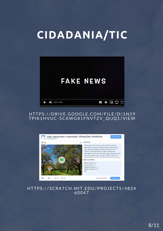

#### HTTPS://DRIVE.GOOGLE.COM/FILE/D/1N59 TPIK1HVUC-5CAWG81FNVTZV\_QIJQ1/VIEW



#### HTTPS : / / SCRATCH.MIT.EDU/PR O JECTS /4824 60047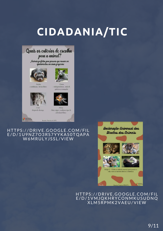



-Depende da raça

**O** REPÚBLICA

Peixe -Não exigem nenhum tipo de atividade física

Beatriz Pereira nº1 8ºB

HTTPS : / /DRIVE.G O O GLE.C OM/FI L E/D/1U9NZ7 O 3RS7YYKAS0T Q APA W6MRULYJSSL/VIEW

Declaração Universal dos Direitos dos Animais



HTTPS://DRIVE.GOOGLE.COM/FIL E/D/1VMJ Q KHRYC O NMKUSUDN Q XLM5RPMK2VAEU/VIEW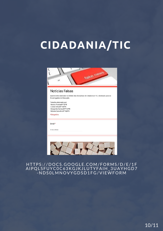

#### HTTPS : / /D O CS .G O O GLE.C OM/F O RMS /D/E/1F AIP Q L SFUY COC 63 K G J K J L U T Y F A I H \_ 3 U A Y H G D 7 -NDS0LMNOVYGDSD1FG/VIEWFORM